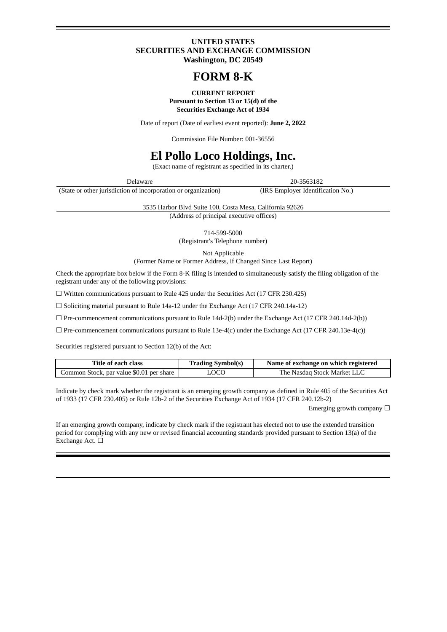### **UNITED STATES SECURITIES AND EXCHANGE COMMISSION Washington, DC 20549**

# **FORM 8-K**

#### **CURRENT REPORT Pursuant to Section 13 or 15(d) of the Securities Exchange Act of 1934**

Date of report (Date of earliest event reported): **June 2, 2022**

Commission File Number: 001-36556

## **El Pollo Loco Holdings, Inc.**

(Exact name of registrant as specified in its charter.)

Delaware 20-3563182

(State or other jurisdiction of incorporation or organization) (IRS Employer Identification No.)

3535 Harbor Blvd Suite 100, Costa Mesa, California 92626

(Address of principal executive offices)

714-599-5000

(Registrant's Telephone number)

Not Applicable

(Former Name or Former Address, if Changed Since Last Report)

Check the appropriate box below if the Form 8-K filing is intended to simultaneously satisfy the filing obligation of the registrant under any of the following provisions:

☐ Written communications pursuant to Rule 425 under the Securities Act (17 CFR 230.425)

☐ Soliciting material pursuant to Rule 14a-12 under the Exchange Act (17 CFR 240.14a-12)

 $\Box$  Pre-commencement communications pursuant to Rule 14d-2(b) under the Exchange Act (17 CFR 240.14d-2(b))

 $\Box$  Pre-commencement communications pursuant to Rule 13e-4(c) under the Exchange Act (17 CFR 240.13e-4(c))

Securities registered pursuant to Section 12(b) of the Act:

| Title of each class                      | <b>Trading Symbol(s)</b> | Name of exchange on which registered |
|------------------------------------------|--------------------------|--------------------------------------|
| Common Stock, par value \$0.01 per share | LOCO                     | The Nasdaq Stock Market LLC          |

Indicate by check mark whether the registrant is an emerging growth company as defined in Rule 405 of the Securities Act of 1933 (17 CFR 230.405) or Rule 12b-2 of the Securities Exchange Act of 1934 (17 CFR 240.12b-2)

Emerging growth company  $\Box$ 

If an emerging growth company, indicate by check mark if the registrant has elected not to use the extended transition period for complying with any new or revised financial accounting standards provided pursuant to Section 13(a) of the Exchange Act. □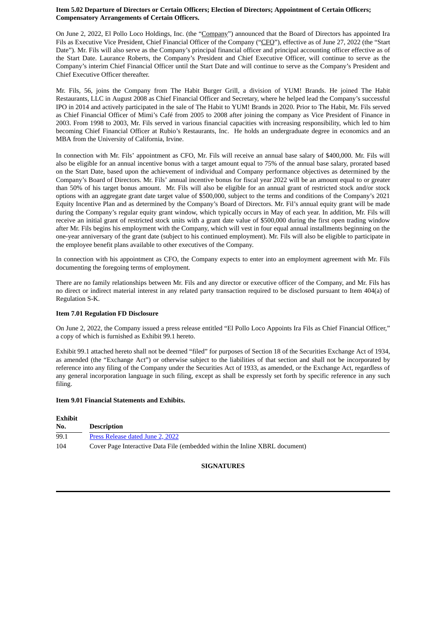#### **Item 5.02 Departure of Directors or Certain Officers; Election of Directors; Appointment of Certain Officers; Compensatory Arrangements of Certain Officers.**

On June 2, 2022, El Pollo Loco Holdings, Inc. (the "Company") announced that the Board of Directors has appointed Ira Fils as Executive Vice President, Chief Financial Officer of the Company ("CFO"), effective as of June 27, 2022 (the "Start Date"). Mr. Fils will also serve as the Company's principal financial officer and principal accounting officer effective as of the Start Date. Laurance Roberts, the Company's President and Chief Executive Officer, will continue to serve as the Company's interim Chief Financial Officer until the Start Date and will continue to serve as the Company's President and Chief Executive Officer thereafter.

Mr. Fils, 56, joins the Company from The Habit Burger Grill, a division of YUM! Brands. He joined The Habit Restaurants, LLC in August 2008 as Chief Financial Officer and Secretary, where he helped lead the Company's successful IPO in 2014 and actively participated in the sale of The Habit to YUM! Brands in 2020. Prior to The Habit, Mr. Fils served as Chief Financial Officer of Mimi's Café from 2005 to 2008 after joining the company as Vice President of Finance in 2003. From 1998 to 2003, Mr. Fils served in various financial capacities with increasing responsibility, which led to him becoming Chief Financial Officer at Rubio's Restaurants, Inc. He holds an undergraduate degree in economics and an MBA from the University of California, Irvine.

In connection with Mr. Fils' appointment as CFO, Mr. Fils will receive an annual base salary of \$400,000. Mr. Fils will also be eligible for an annual incentive bonus with a target amount equal to 75% of the annual base salary, prorated based on the Start Date, based upon the achievement of individual and Company performance objectives as determined by the Company's Board of Directors. Mr. Fils' annual incentive bonus for fiscal year 2022 will be an amount equal to or greater than 50% of his target bonus amount. Mr. Fils will also be eligible for an annual grant of restricted stock and/or stock options with an aggregate grant date target value of \$500,000, subject to the terms and conditions of the Company's 2021 Equity Incentive Plan and as determined by the Company's Board of Directors. Mr. Fil's annual equity grant will be made during the Company's regular equity grant window, which typically occurs in May of each year. In addition, Mr. Fils will receive an initial grant of restricted stock units with a grant date value of \$500,000 during the first open trading window after Mr. Fils begins his employment with the Company, which will vest in four equal annual installments beginning on the one-year anniversary of the grant date (subject to his continued employment). Mr. Fils will also be eligible to participate in the employee benefit plans available to other executives of the Company.

In connection with his appointment as CFO, the Company expects to enter into an employment agreement with Mr. Fils documenting the foregoing terms of employment.

There are no family relationships between Mr. Fils and any director or executive officer of the Company, and Mr. Fils has no direct or indirect material interest in any related party transaction required to be disclosed pursuant to Item 404(a) of Regulation S-K.

#### **Item 7.01 Regulation FD Disclosure**

On June 2, 2022, the Company issued a press release entitled "El Pollo Loco Appoints Ira Fils as Chief Financial Officer," a copy of which is furnished as Exhibit 99.1 hereto.

Exhibit 99.1 attached hereto shall not be deemed "filed" for purposes of Section 18 of the Securities Exchange Act of 1934, as amended (the "Exchange Act") or otherwise subject to the liabilities of that section and shall not be incorporated by reference into any filing of the Company under the Securities Act of 1933, as amended, or the Exchange Act, regardless of any general incorporation language in such filing, except as shall be expressly set forth by specific reference in any such filing.

#### **Item 9.01 Financial Statements and Exhibits.**

| Exhibit |                                                                             |
|---------|-----------------------------------------------------------------------------|
| No.     | <b>Description</b>                                                          |
| 99.1    | Press Release dated June 2, 2022                                            |
| 104     | Cover Page Interactive Data File (embedded within the Inline XBRL document) |

## **SIGNATURES**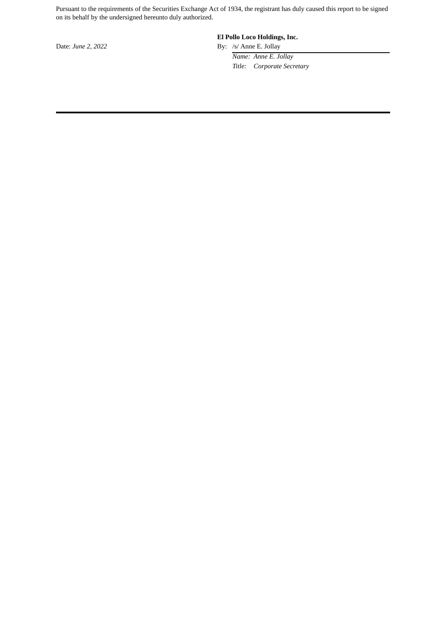Pursuant to the requirements of the Securities Exchange Act of 1934, the registrant has duly caused this report to be signed on its behalf by the undersigned hereunto duly authorized.

## **El Pollo Loco Holdings, Inc.**

Date: *June 2, 2022* By: /s/ Anne E. Jollay

*Name: Anne E. Jollay Title: Corporate Secretary*